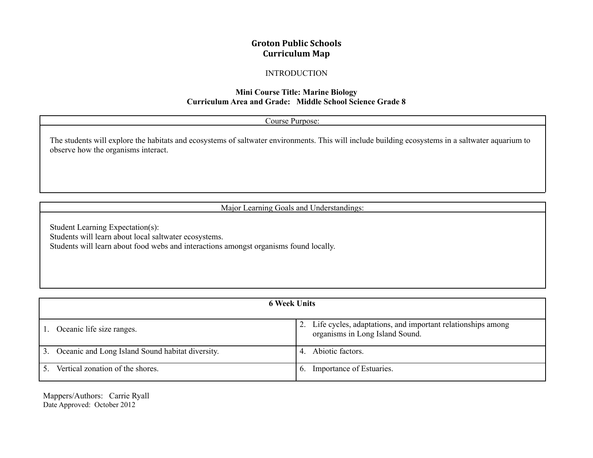# **Groton Public Schools Curriculum Map**

### INTRODUCTION

### **Mini Course Title: Marine Biology Curriculum Area and Grade: Middle School Science Grade 8**

| Course Purpose:                                                                                                                                                                          |  |  |  |  |
|------------------------------------------------------------------------------------------------------------------------------------------------------------------------------------------|--|--|--|--|
| The students will explore the habitats and ecosystems of saltwater environments. This will include building ecosystems in a saltwater aquarium to<br>observe how the organisms interact. |  |  |  |  |
|                                                                                                                                                                                          |  |  |  |  |

Major Learning Goals and Understandings:

Student Learning Expectation(s): Students will learn about local saltwater ecosystems. Students will learn about food webs and interactions amongst organisms found locally.

| <b>6 Week Units</b>                                 |                |                                                                                                   |  |  |  |
|-----------------------------------------------------|----------------|---------------------------------------------------------------------------------------------------|--|--|--|
| Oceanic life size ranges.                           |                | 2. Life cycles, adaptations, and important relationships among<br>organisms in Long Island Sound. |  |  |  |
| 3. Oceanic and Long Island Sound habitat diversity. | $\overline{4}$ | Abiotic factors.                                                                                  |  |  |  |
| Vertical zonation of the shores.                    |                | Importance of Estuaries.                                                                          |  |  |  |

Mappers/Authors: Carrie Ryall Date Approved: October 2012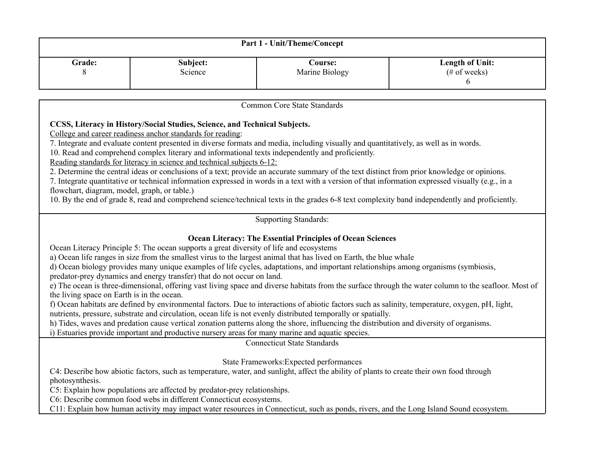| <b>Part 1 - Unit/Theme/Concept</b> |          |                 |                 |  |  |  |  |
|------------------------------------|----------|-----------------|-----------------|--|--|--|--|
| <b>Grade:</b>                      | Subject: | C <b>ourse:</b> | Length of Unit: |  |  |  |  |
| O                                  | Science  | Marine Biology  | $(\# of weeks)$ |  |  |  |  |

Common Core State Standards

## **CCSS, Literacy in History/Social Studies, Science, and Technical Subjects.**

College and career readiness anchor standards for reading:

7. Integrate and evaluate content presented in diverse formats and media, including visually and quantitatively, as well as in words.

10. Read and comprehend complex literary and informational texts independently and proficiently.

Reading standards for literacy in science and technical subjects 6-12:

2. Determine the central ideas or conclusions of a text; provide an accurate summary of the text distinct from prior knowledge or opinions.

7. Integrate quantitative or technical information expressed in words in a text with a version of that information expressed visually (e.g., in a flowchart, diagram, model, graph, or table.)

10. By the end of grade 8, read and comprehend science/technical texts in the grades 6-8 text complexity band independently and proficiently.

# Supporting Standards:

# **Ocean Literacy: The Essential Principles of Ocean Sciences**

Ocean Literacy Principle 5: The ocean supports a great diversity of life and ecosystems

a) Ocean life ranges in size from the smallest virus to the largest animal that has lived on Earth, the blue whale

d) Ocean biology provides many unique examples of life cycles, adaptations, and important relationships among organisms (symbiosis,

predator-prey dynamics and energy transfer) that do not occur on land.

e) The ocean is three-dimensional, offering vast living space and diverse habitats from the surface through the water column to the seafloor. Most of the living space on Earth is in the ocean.

f) Ocean habitats are defined by environmental factors. Due to interactions of abiotic factors such as salinity, temperature, oxygen, pH, light, nutrients, pressure, substrate and circulation, ocean life is not evenly distributed temporally or spatially.

h) Tides, waves and predation cause vertical zonation patterns along the shore, influencing the distribution and diversity of organisms.

i) Estuaries provide important and productive nursery areas for many marine and aquatic species.

Connecticut State Standards

State Frameworks:Expected performances

C4: Describe how abiotic factors, such as temperature, water, and sunlight, affect the ability of plants to create their own food through photosynthesis.

C5: Explain how populations are affected by predator-prey relationships.

C6: Describe common food webs in different Connecticut ecosystems.

C11: Explain how human activity may impact water resources in Connecticut, such as ponds, rivers, and the Long Island Sound ecosystem.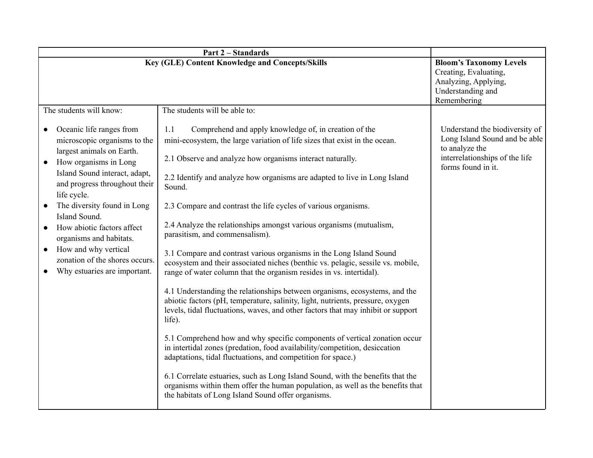| <b>Part 2 – Standards</b>                                                                                                                                                                                                                                                                                                                                                                                       |                                                                                                                                                                                                                                                                                                                                                                                                                                                                                                                                                                                                                                                                                                                                                                                                                                                                                                                                                                                                                                                                                                                                                                                                                                                                                                                                                                                                                               |                                                                                                                                           |  |  |  |  |  |
|-----------------------------------------------------------------------------------------------------------------------------------------------------------------------------------------------------------------------------------------------------------------------------------------------------------------------------------------------------------------------------------------------------------------|-------------------------------------------------------------------------------------------------------------------------------------------------------------------------------------------------------------------------------------------------------------------------------------------------------------------------------------------------------------------------------------------------------------------------------------------------------------------------------------------------------------------------------------------------------------------------------------------------------------------------------------------------------------------------------------------------------------------------------------------------------------------------------------------------------------------------------------------------------------------------------------------------------------------------------------------------------------------------------------------------------------------------------------------------------------------------------------------------------------------------------------------------------------------------------------------------------------------------------------------------------------------------------------------------------------------------------------------------------------------------------------------------------------------------------|-------------------------------------------------------------------------------------------------------------------------------------------|--|--|--|--|--|
| <b>Key (GLE) Content Knowledge and Concepts/Skills</b>                                                                                                                                                                                                                                                                                                                                                          | <b>Bloom's Taxonomy Levels</b><br>Creating, Evaluating,<br>Analyzing, Applying,<br>Understanding and<br>Remembering                                                                                                                                                                                                                                                                                                                                                                                                                                                                                                                                                                                                                                                                                                                                                                                                                                                                                                                                                                                                                                                                                                                                                                                                                                                                                                           |                                                                                                                                           |  |  |  |  |  |
| The students will know:<br>The students will be able to:                                                                                                                                                                                                                                                                                                                                                        |                                                                                                                                                                                                                                                                                                                                                                                                                                                                                                                                                                                                                                                                                                                                                                                                                                                                                                                                                                                                                                                                                                                                                                                                                                                                                                                                                                                                                               |                                                                                                                                           |  |  |  |  |  |
| Oceanic life ranges from<br>microscopic organisms to the<br>largest animals on Earth.<br>How organisms in Long<br>Island Sound interact, adapt,<br>and progress throughout their<br>life cycle.<br>The diversity found in Long<br>Island Sound.<br>How abiotic factors affect<br>organisms and habitats.<br>How and why vertical<br>$\bullet$<br>zonation of the shores occurs.<br>Why estuaries are important. | Comprehend and apply knowledge of, in creation of the<br>1.1<br>mini-ecosystem, the large variation of life sizes that exist in the ocean.<br>2.1 Observe and analyze how organisms interact naturally.<br>2.2 Identify and analyze how organisms are adapted to live in Long Island<br>Sound.<br>2.3 Compare and contrast the life cycles of various organisms.<br>2.4 Analyze the relationships amongst various organisms (mutualism,<br>parasitism, and commensalism).<br>3.1 Compare and contrast various organisms in the Long Island Sound<br>ecosystem and their associated niches (benthic vs. pelagic, sessile vs. mobile,<br>range of water column that the organism resides in vs. intertidal).<br>4.1 Understanding the relationships between organisms, ecosystems, and the<br>abiotic factors (pH, temperature, salinity, light, nutrients, pressure, oxygen<br>levels, tidal fluctuations, waves, and other factors that may inhibit or support<br>life).<br>5.1 Comprehend how and why specific components of vertical zonation occur<br>in intertidal zones (predation, food availability/competition, desiccation<br>adaptations, tidal fluctuations, and competition for space.)<br>6.1 Correlate estuaries, such as Long Island Sound, with the benefits that the<br>organisms within them offer the human population, as well as the benefits that<br>the habitats of Long Island Sound offer organisms. | Understand the biodiversity of<br>Long Island Sound and be able<br>to analyze the<br>interrelationships of the life<br>forms found in it. |  |  |  |  |  |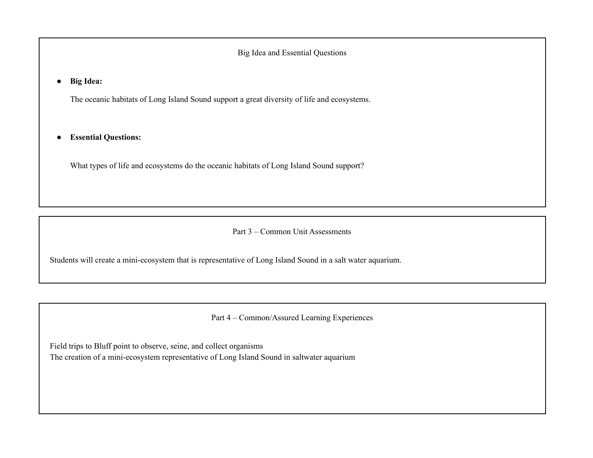Big Idea and Essential Questions

**● Big Idea:**

The oceanic habitats of Long Island Sound support a great diversity of life and ecosystems.

● **Essential Questions:**

What types of life and ecosystems do the oceanic habitats of Long Island Sound support?

Part 3 – Common Unit Assessments

Students will create a mini-ecosystem that is representative of Long Island Sound in a salt water aquarium.

Part 4 – Common/Assured Learning Experiences

Field trips to Bluff point to observe, seine, and collect organisms

The creation of a mini-ecosystem representative of Long Island Sound in saltwater aquarium